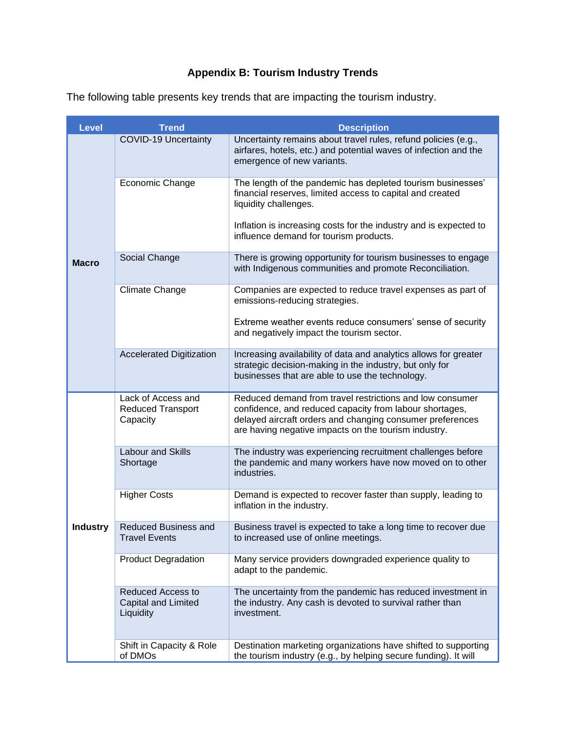## **Appendix B: Tourism Industry Trends**

| <b>Level</b>    | <b>Trend</b>                                                 | <b>Description</b>                                                                                                                                                                                                                       |
|-----------------|--------------------------------------------------------------|------------------------------------------------------------------------------------------------------------------------------------------------------------------------------------------------------------------------------------------|
| <b>Macro</b>    | <b>COVID-19 Uncertainty</b>                                  | Uncertainty remains about travel rules, refund policies (e.g.,<br>airfares, hotels, etc.) and potential waves of infection and the<br>emergence of new variants.                                                                         |
|                 | Economic Change                                              | The length of the pandemic has depleted tourism businesses'<br>financial reserves, limited access to capital and created<br>liquidity challenges.                                                                                        |
|                 |                                                              | Inflation is increasing costs for the industry and is expected to<br>influence demand for tourism products.                                                                                                                              |
|                 | Social Change                                                | There is growing opportunity for tourism businesses to engage<br>with Indigenous communities and promote Reconciliation.                                                                                                                 |
|                 | <b>Climate Change</b>                                        | Companies are expected to reduce travel expenses as part of<br>emissions-reducing strategies.                                                                                                                                            |
|                 |                                                              | Extreme weather events reduce consumers' sense of security<br>and negatively impact the tourism sector.                                                                                                                                  |
|                 | <b>Accelerated Digitization</b>                              | Increasing availability of data and analytics allows for greater<br>strategic decision-making in the industry, but only for<br>businesses that are able to use the technology.                                                           |
| <b>Industry</b> | Lack of Access and<br><b>Reduced Transport</b><br>Capacity   | Reduced demand from travel restrictions and low consumer<br>confidence, and reduced capacity from labour shortages,<br>delayed aircraft orders and changing consumer preferences<br>are having negative impacts on the tourism industry. |
|                 | Labour and Skills<br>Shortage                                | The industry was experiencing recruitment challenges before<br>the pandemic and many workers have now moved on to other<br>industries.                                                                                                   |
|                 | <b>Higher Costs</b>                                          | Demand is expected to recover faster than supply, leading to<br>inflation in the industry.                                                                                                                                               |
|                 | <b>Reduced Business and</b><br><b>Travel Events</b>          | Business travel is expected to take a long time to recover due<br>to increased use of online meetings.                                                                                                                                   |
|                 | <b>Product Degradation</b>                                   | Many service providers downgraded experience quality to<br>adapt to the pandemic.                                                                                                                                                        |
|                 | <b>Reduced Access to</b><br>Capital and Limited<br>Liquidity | The uncertainty from the pandemic has reduced investment in<br>the industry. Any cash is devoted to survival rather than<br>investment.                                                                                                  |
|                 | Shift in Capacity & Role<br>of DMOs                          | Destination marketing organizations have shifted to supporting<br>the tourism industry (e.g., by helping secure funding). It will                                                                                                        |

The following table presents key trends that are impacting the tourism industry.